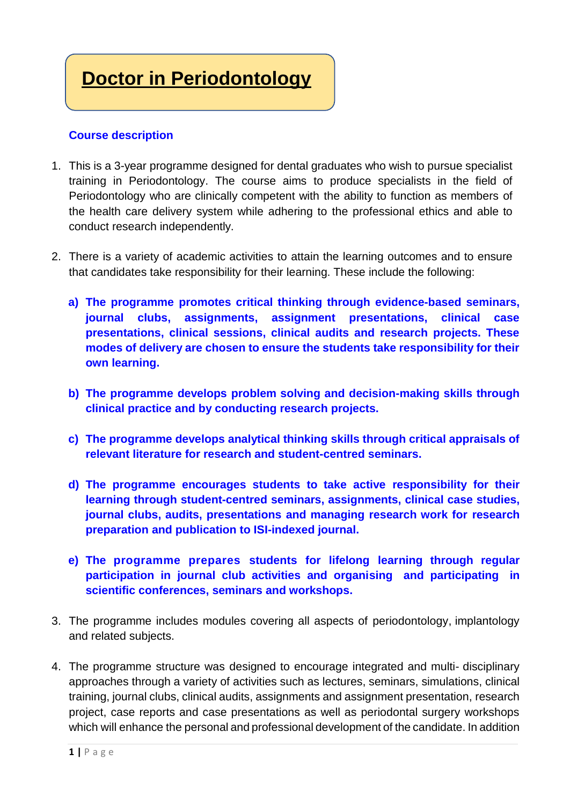## **Doctor in Periodontology**

## **Course description**

- 1. This is a 3-year programme designed for dental graduates who wish to pursue specialist training in Periodontology. The course aims to produce specialists in the field of Periodontology who are clinically competent with the ability to function as members of the health care delivery system while adhering to the professional ethics and able to conduct research independently.
- 2. There is a variety of academic activities to attain the learning outcomes and to ensure that candidates take responsibility for their learning. These include the following:
	- **a) The programme promotes critical thinking through evidence-based seminars, journal clubs, assignments, assignment presentations, clinical case presentations, clinical sessions, clinical audits and research projects. These modes of delivery are chosen to ensure the students take responsibility for their own learning.**
	- **b) The programme develops problem solving and decision-making skills through clinical practice and by conducting research projects.**
	- **c) The programme develops analytical thinking skills through critical appraisals of relevant literature for research and student-centred seminars.**
	- **d) The programme encourages students to take active responsibility for their learning through student-centred seminars, assignments, clinical case studies, journal clubs, audits, presentations and managing research work for research preparation and publication to ISI-indexed journal.**
	- **e) The programme prepares students for lifelong learning through regular participation in journal club activities and organising and participating in scientific conferences, seminars and workshops.**
- 3. The programme includes modules covering all aspects of periodontology, implantology and related subjects.
- 4. The programme structure was designed to encourage integrated and multi- disciplinary approaches through a variety of activities such as lectures, seminars, simulations, clinical training, journal clubs, clinical audits, assignments and assignment presentation, research project, case reports and case presentations as well as periodontal surgery workshops which will enhance the personal and professional development of the candidate. In addition